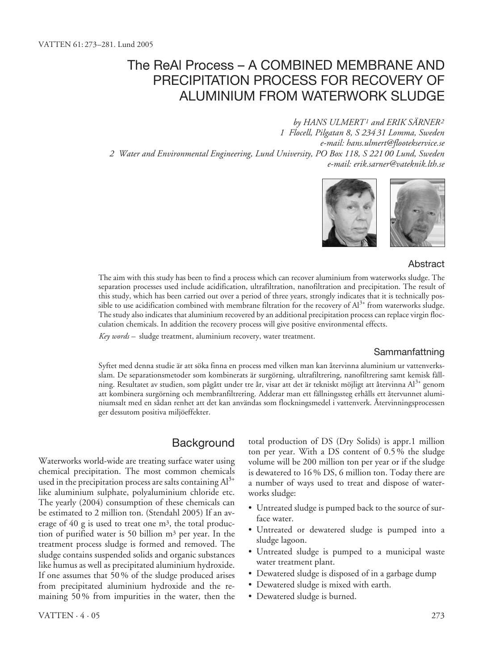## The ReAl Process – A COMBINED MEMBRANE AND PRECIPITATION PROCESS FOR RECOVERY OF ALUMINIUM FROM WATERWORK SLUDGE

*by HANS ULMERT1 and ERIK SÄRNER2 1 Flocell, Pilgatan 8, S 234 31 Lomma, Sweden e-mail: hans.ulmert@flootekservice.se 2 Water and Environmental Engineering, Lund University, PO Box 118, S 221 00 Lund, Sweden e-mail: erik.sarner@vateknik.lth.se*



#### Abstract

The aim with this study has been to find a process which can recover aluminium from waterworks sludge. The separation processes used include acidification, ultrafiltration, nanofiltration and precipitation. The result of this study, which has been carried out over a period of three years, strongly indicates that it is technically possible to use acidification combined with membrane filtration for the recovery of  $Al^{3+}$  from waterworks sludge. The study also indicates that aluminium recovered by an additional precipitation process can replace virgin flocculation chemicals. In addition the recovery process will give positive environmental effects.

*Key words –* sludge treatment, aluminium recovery, water treatment.

#### Sammanfattning

Syftet med denna studie är att söka finna en process med vilken man kan återvinna aluminium ur vattenverksslam. De separationsmetoder som kombinerats är surgörning, ultrafiltrering, nanofiltrering samt kemisk fällning. Resultatet av studien, som pågått under tre år, visar att det är tekniskt möjligt att återvinna Al3+ genom att kombinera surgörning och membranfiltrering. Adderar man ett fällningssteg erhålls ett återvunnet aluminiumsalt med en sådan renhet att det kan användas som flockningsmedel i vattenverk. Återvinningsprocessen ger dessutom positiva miljöeffekter.

## **Background**

Waterworks world-wide are treating surface water using chemical precipitation. The most common chemicals used in the precipitation process are salts containing  $Al^{3+}$ like aluminium sulphate, polyaluminium chloride etc. The yearly (2004) consumption of these chemicals can be estimated to 2 million ton. (Stendahl 2005) If an average of 40 g is used to treat one m3, the total production of purified water is 50 billion m3 per year. In the treatment process sludge is formed and removed. The sludge contains suspended solids and organic substances like humus as well as precipitated aluminium hydroxide. If one assumes that 50 % of the sludge produced arises from precipitated aluminium hydroxide and the remaining 50 % from impurities in the water, then the

total production of DS (Dry Solids) is appr.1 million ton per year. With a DS content of 0.5 % the sludge volume will be 200 million ton per year or if the sludge is dewatered to 16 % DS, 6 million ton. Today there are a number of ways used to treat and dispose of waterworks sludge:

- Untreated sludge is pumped back to the source of surface water.
- Untreated or dewatered sludge is pumped into a sludge lagoon.
- Untreated sludge is pumped to a municipal waste water treatment plant.
- Dewatered sludge is disposed of in a garbage dump
- Dewatered sludge is mixed with earth.
- Dewatered sludge is burned.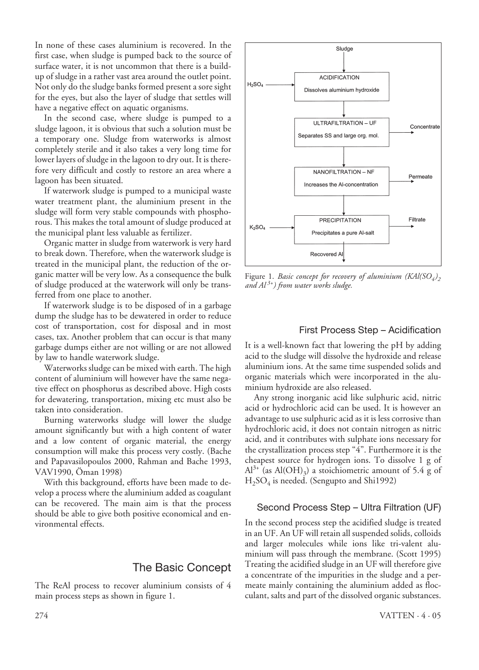In none of these cases aluminium is recovered. In the first case, when sludge is pumped back to the source of surface water, it is not uncommon that there is a buildup of sludge in a rather vast area around the outlet point. Not only do the sludge banks formed present a sore sight for the eyes, but also the layer of sludge that settles will have a negative effect on aquatic organisms.

In the second case, where sludge is pumped to a sludge lagoon, it is obvious that such a solution must be a temporary one. Sludge from waterworks is almost completely sterile and it also takes a very long time for lower layers of sludge in the lagoon to dry out. It is therefore very difficult and costly to restore an area where a lagoon has been situated.

If waterwork sludge is pumped to a municipal waste water treatment plant, the aluminium present in the sludge will form very stable compounds with phosphorous. This makes the total amount of sludge produced at the municipal plant less valuable as fertilizer.

Organic matter in sludge from waterwork is very hard to break down. Therefore, when the waterwork sludge is treated in the municipal plant, the reduction of the organic matter will be very low. As a consequence the bulk of sludge produced at the waterwork will only be transferred from one place to another.

If waterwork sludge is to be disposed of in a garbage dump the sludge has to be dewatered in order to reduce cost of transportation, cost for disposal and in most cases, tax. Another problem that can occur is that many garbage dumps either are not willing or are not allowed by law to handle waterwork sludge.

Waterworks sludge can be mixed with earth. The high content of aluminium will however have the same negative effect on phosphorus as described above. High costs for dewatering, transportation, mixing etc must also be taken into consideration.

Burning waterworks sludge will lower the sludge amount significantly but with a high content of water and a low content of organic material, the energy consumption will make this process very costly. (Bache and Papavasilopoulos 2000, Rahman and Bache 1993, VAV1990, Öman 1998)

With this background, efforts have been made to develop a process where the aluminium added as coagulant can be recovered. The main aim is that the process should be able to give both positive economical and environmental effects.

## The Basic Concept

The ReAl process to recover aluminium consists of 4 main process steps as shown in figure 1.



Figure 1. *Basic concept for recovery of aluminium (KAl(SO<sub>4</sub>)*<sub>2</sub> *and Al 3+) from water works sludge.*

#### First Process Step – Acidification

It is a well-known fact that lowering the pH by adding acid to the sludge will dissolve the hydroxide and release aluminium ions. At the same time suspended solids and organic materials which were incorporated in the aluminium hydroxide are also released.

Any strong inorganic acid like sulphuric acid, nitric acid or hydrochloric acid can be used. It is however an advantage to use sulphuric acid as it is less corrosive than hydrochloric acid, it does not contain nitrogen as nitric acid, and it contributes with sulphate ions necessary for the crystallization process step "4". Furthermore it is the cheapest source for hydrogen ions. To dissolve 1 g of  $Al^{3+}$  (as Al(OH)<sub>3</sub>) a stoichiometric amount of 5.4 g of H2SO4 is needed. (Sengupto and Shi1992)

#### Second Process Step – Ultra Filtration (UF)

In the second process step the acidified sludge is treated in an UF. An UF will retain all suspended solids, colloids and larger molecules while ions like tri-valent aluminium will pass through the membrane. (Scott 1995) Treating the acidified sludge in an UF will therefore give a concentrate of the impurities in the sludge and a permeate mainly containing the aluminium added as flocculant, salts and part of the dissolved organic substances.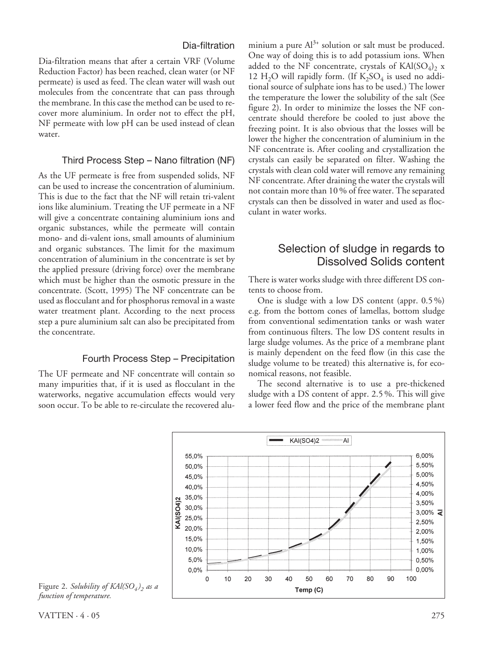#### Dia-filtration

Dia-filtration means that after a certain VRF (Volume Reduction Factor) has been reached, clean water (or NF permeate) is used as feed. The clean water will wash out molecules from the concentrate that can pass through the membrane. In this case the method can be used to recover more aluminium. In order not to effect the pH, NF permeate with low pH can be used instead of clean water.

#### Third Process Step – Nano filtration (NF)

As the UF permeate is free from suspended solids, NF can be used to increase the concentration of aluminium. This is due to the fact that the NF will retain tri-valent ions like aluminium. Treating the UF permeate in a NF will give a concentrate containing aluminium ions and organic substances, while the permeate will contain mono- and di-valent ions, small amounts of aluminium and organic substances. The limit for the maximum concentration of aluminium in the concentrate is set by the applied pressure (driving force) over the membrane which must be higher than the osmotic pressure in the concentrate. (Scott, 1995) The NF concentrate can be used as flocculant and for phosphorus removal in a waste water treatment plant. According to the next process step a pure aluminium salt can also be precipitated from the concentrate.

#### Fourth Process Step – Precipitation

The UF permeate and NF concentrate will contain so many impurities that, if it is used as flocculant in the waterworks, negative accumulation effects would very soon occur. To be able to re-circulate the recovered aluminium a pure  $Al^{3+}$  solution or salt must be produced. One way of doing this is to add potassium ions. When added to the NF concentrate, crystals of  $\text{KAI}(\text{SO}_4)_{2}$  x 12 H<sub>2</sub>O will rapidly form. (If  $K_2SO_4$  is used no additional source of sulphate ions has to be used.) The lower the temperature the lower the solubility of the salt (See figure 2). In order to minimize the losses the NF concentrate should therefore be cooled to just above the freezing point. It is also obvious that the losses will be lower the higher the concentration of aluminium in the NF concentrate is. After cooling and crystallization the crystals can easily be separated on filter. Washing the crystals with clean cold water will remove any remaining NF concentrate. After draining the water the crystals will not contain more than 10 % of free water. The separated crystals can then be dissolved in water and used as flocculant in water works.

## Selection of sludge in regards to Dissolved Solids content

There is water works sludge with three different DS contents to choose from.

One is sludge with a low DS content (appr. 0.5 %) e.g. from the bottom cones of lamellas, bottom sludge from conventional sedimentation tanks or wash water from continuous filters. The low DS content results in large sludge volumes. As the price of a membrane plant is mainly dependent on the feed flow (in this case the sludge volume to be treated) this alternative is, for economical reasons, not feasible.

The second alternative is to use a pre-thickened sludge with a DS content of appr. 2.5 %. This will give a lower feed flow and the price of the membrane plant



Figure 2. *Solubility of KAl(SO<sub>4</sub>)*, as a *function of temperature.*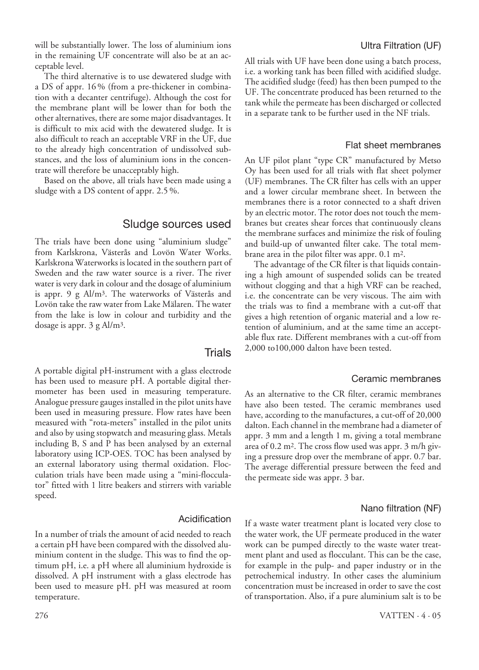will be substantially lower. The loss of aluminium ions in the remaining UF concentrate will also be at an acceptable level.

The third alternative is to use dewatered sludge with a DS of appr. 16 % (from a pre-thickener in combination with a decanter centrifuge). Although the cost for the membrane plant will be lower than for both the other alternatives, there are some major disadvantages. It is difficult to mix acid with the dewatered sludge. It is also difficult to reach an acceptable VRF in the UF, due to the already high concentration of undissolved substances, and the loss of aluminium ions in the concentrate will therefore be unacceptably high.

Based on the above, all trials have been made using a sludge with a DS content of appr. 2.5 %.

#### Sludge sources used

The trials have been done using "aluminium sludge" from Karlskrona, Västerås and Lovön Water Works. Karlskrona Waterworks is located in the southern part of Sweden and the raw water source is a river. The river water is very dark in colour and the dosage of aluminium is appr. 9 g Al/m3. The waterworks of Västerås and Lovön take the raw water from Lake Mälaren. The water from the lake is low in colour and turbidity and the dosage is appr. 3 g Al/m3.

#### **Trials**

A portable digital pH-instrument with a glass electrode has been used to measure pH. A portable digital thermometer has been used in measuring temperature. Analogue pressure gauges installed in the pilot units have been used in measuring pressure. Flow rates have been measured with "rota-meters" installed in the pilot units and also by using stopwatch and measuring glass. Metals including B, S and P has been analysed by an external laboratory using ICP-OES. TOC has been analysed by an external laboratory using thermal oxidation. Flocculation trials have been made using a "mini-flocculator" fitted with 1 litre beakers and stirrers with variable speed.

#### Acidification

In a number of trials the amount of acid needed to reach a certain pH have been compared with the dissolved aluminium content in the sludge. This was to find the optimum pH, i.e. a pH where all aluminium hydroxide is dissolved. A pH instrument with a glass electrode has been used to measure pH. pH was measured at room temperature.

#### Ultra Filtration (UF)

All trials with UF have been done using a batch process, i.e. a working tank has been filled with acidified sludge. The acidified sludge (feed) has then been pumped to the UF. The concentrate produced has been returned to the tank while the permeate has been discharged or collected in a separate tank to be further used in the NF trials.

#### Flat sheet membranes

An UF pilot plant "type CR" manufactured by Metso Oy has been used for all trials with flat sheet polymer (UF) membranes. The CR filter has cells with an upper and a lower circular membrane sheet. In between the membranes there is a rotor connected to a shaft driven by an electric motor. The rotor does not touch the membranes but creates shear forces that continuously cleans the membrane surfaces and minimize the risk of fouling and build-up of unwanted filter cake. The total membrane area in the pilot filter was appr. 0.1 m2.

The advantage of the CR filter is that liquids containing a high amount of suspended solids can be treated without clogging and that a high VRF can be reached, i.e. the concentrate can be very viscous. The aim with the trials was to find a membrane with a cut-off that gives a high retention of organic material and a low retention of aluminium, and at the same time an acceptable flux rate. Different membranes with a cut-off from 2,000 to100,000 dalton have been tested.

#### Ceramic membranes

As an alternative to the CR filter, ceramic membranes have also been tested. The ceramic membranes used have, according to the manufactures, a cut-off of 20,000 dalton. Each channel in the membrane had a diameter of appr. 3 mm and a length 1 m, giving a total membrane area of 0.2 m2. The cross flow used was appr. 3 m/h giving a pressure drop over the membrane of appr. 0.7 bar. The average differential pressure between the feed and the permeate side was appr. 3 bar.

#### Nano filtration (NF)

If a waste water treatment plant is located very close to the water work, the UF permeate produced in the water work can be pumped directly to the waste water treatment plant and used as flocculant. This can be the case, for example in the pulp- and paper industry or in the petrochemical industry. In other cases the aluminium concentration must be increased in order to save the cost of transportation. Also, if a pure aluminium salt is to be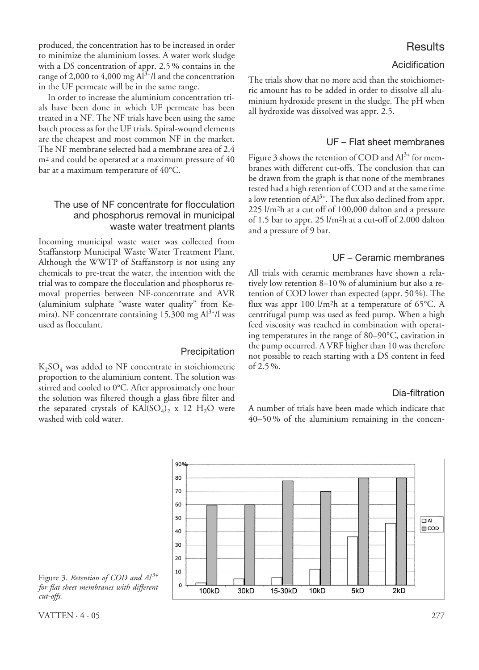produced, the concentration has to be increased in order to minimize the aluminium losses. A water work sludge with a DS concentration of appr. 2.5 % contains in the range of 2,000 to 4,000 mg  $Al^{3+}/l$  and the concentration in the UF permeate will be in the same range.

In order to increase the aluminium concentration trials have been done in which UF permeate has been treated in a NF. The NF trials have been using the same batch process as for the UF trials. Spiral-wound elements are the cheapest and most common NF in the market. The NF membrane selected had a membrane area of 2.4 m2 and could be operated at a maximum pressure of 40 bar at a maximum temperature of 40°C.

#### The use of NF concentrate for flocculation and phosphorus removal in municipal waste water treatment plants

Incoming municipal waste water was collected from Staffanstorp Municipal Waste Water Treatment Plant. Although the WWTP of Staffanstorp is not using any chemicals to pre-treat the water, the intention with the trial was to compare the flocculation and phosphorus removal properties between NF-concentrate and AVR (aluminium sulphate "waste water quality" from Kemira). NF concentrate containing 15,300 mg  $Al^{3+}/l$  was used as flocculant.

#### Precipitation

 $K<sub>2</sub>SO<sub>4</sub>$  was added to NF concentrate in stoichiometric proportion to the aluminium content. The solution was stirred and cooled to 0°C. After approximately one hour the solution was filtered though a glass fibre filter and the separated crystals of  $KAI(SO<sub>4</sub>)<sub>2</sub>$  x 12 H<sub>2</sub>O were washed with cold water.

## **Results**

#### Acidification

The trials show that no more acid than the stoichiometric amount has to be added in order to dissolve all aluminium hydroxide present in the sludge. The pH when all hydroxide was dissolved was appr. 2.5.

#### UF – Flat sheet membranes

Figure 3 shows the retention of COD and  $Al^{3+}$  for membranes with different cut-offs. The conclusion that can be drawn from the graph is that none of the membranes tested had a high retention of COD and at the same time a low retention of  $Al^{3+}$ . The flux also declined from appr. 225 l/m2h at a cut off of 100,000 dalton and a pressure of 1.5 bar to appr. 25 l/m2h at a cut-off of 2,000 dalton and a pressure of 9 bar.

#### UF – Ceramic membranes

All trials with ceramic membranes have shown a relatively low retention 8–10 % of aluminium but also a retention of COD lower than expected (appr. 50 %). The flux was appr 100  $1/m<sup>2</sup>h$  at a temperature of 65 $°C$ . A centrifugal pump was used as feed pump. When a high feed viscosity was reached in combination with operating temperatures in the range of 80–90°C, cavitation in the pump occurred. A VRF higher than 10 was therefore not possible to reach starting with a DS content in feed of 2.5 %.

#### Dia-filtration

A number of trials have been made which indicate that 40–50 % of the aluminium remaining in the concen-



Figure 3. *Retention of COD and*  $Al^{3+}$ *for flat sheet membranes with different cut-offs.*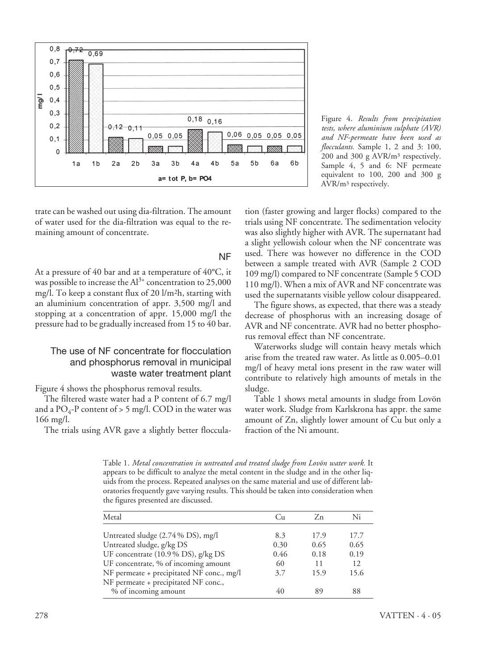

Figure 4. *Results from precipitation tests, where aluminium sulphate (AVR) and NF-permeate have been used as flocculants.* Sample 1, 2 and 3: 100, 200 and 300 g AVR/m3 respectively. Sample 4, 5 and 6: NF permeate equivalent to 100, 200 and 300 g AVR/m3 respectively.

trate can be washed out using dia-filtration. The amount of water used for the dia-filtration was equal to the remaining amount of concentrate.

#### NF

At a pressure of 40 bar and at a temperature of 40°C, it was possible to increase the  $Al^{3+}$  concentration to 25,000 mg/l. To keep a constant flux of 20 l/m2h, starting with an aluminium concentration of appr. 3,500 mg/l and stopping at a concentration of appr. 15,000 mg/l the pressure had to be gradually increased from 15 to 40 bar.

#### The use of NF concentrate for flocculation and phosphorus removal in municipal waste water treatment plant

Figure 4 shows the phosphorus removal results.

The filtered waste water had a P content of 6.7 mg/l and a  $PO_4$ -P content of > 5 mg/l. COD in the water was 166 mg/l.

The trials using AVR gave a slightly better floccula-

tion (faster growing and larger flocks) compared to the trials using NF concentrate. The sedimentation velocity was also slightly higher with AVR. The supernatant had a slight yellowish colour when the NF concentrate was used. There was however no difference in the COD between a sample treated with AVR (Sample 2 COD 109 mg/l) compared to NF concentrate (Sample 5 COD 110 mg/l). When a mix of AVR and NF concentrate was used the supernatants visible yellow colour disappeared.

The figure shows, as expected, that there was a steady decrease of phosphorus with an increasing dosage of AVR and NF concentrate. AVR had no better phosphorus removal effect than NF concentrate.

Waterworks sludge will contain heavy metals which arise from the treated raw water. As little as 0.005–0.01 mg/l of heavy metal ions present in the raw water will contribute to relatively high amounts of metals in the sludge.

Table 1 shows metal amounts in sludge from Lovön water work. Sludge from Karlskrona has appr. the same amount of Zn, slightly lower amount of Cu but only a fraction of the Ni amount.

Table 1. *Metal concentration in untreated and treated sludge from Lovön water work.* It appears to be difficult to analyze the metal content in the sludge and in the other liquids from the process. Repeated analyses on the same material and use of different laboratories frequently gave varying results. This should be taken into consideration when the figures presented are discussed.

| Metal                                     | Cu.  | Zn.  | Ni   |
|-------------------------------------------|------|------|------|
|                                           |      |      |      |
| Untreated sludge (2.74 % DS), mg/l        | 8.3  | 17.9 | 17.7 |
| Untreated sludge, g/kg DS                 | 0.30 | 0.65 | 0.65 |
| UF concentrate $(10.9\%$ DS), g/kg DS     | 0.46 | 0.18 | 0.19 |
| UF concentrate, % of incoming amount      | 60   | 11   | 12.  |
| NF permeate + precipitated NF conc., mg/l | 3.7  | 15.9 | 15.6 |
| NF permeate + precipitated NF conc.,      |      |      |      |
| % of incoming amount                      |      | 89   | 88   |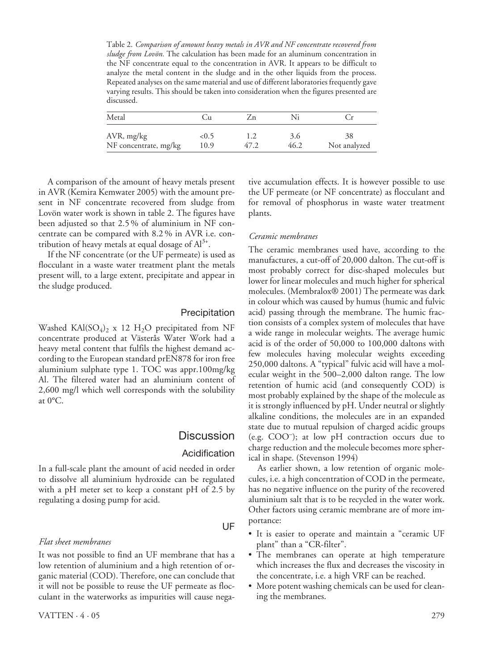Table 2. *Comparison of amount heavy metals in AVR and NF concentrate recovered from sludge from Lovön.* The calculation has been made for an aluminum concentration in the NF concentrate equal to the concentration in AVR. It appears to be difficult to analyze the metal content in the sludge and in the other liquids from the process. Repeated analyses on the same material and use of different laboratories frequently gave varying results. This should be taken into consideration when the figures presented are discussed.

| Metal                 | Jи   |         |      |              |
|-----------------------|------|---------|------|--------------|
| AVR, mg/kg            | <0.5 | $4/\mu$ | 3.0  | 38           |
| NF concentrate, mg/kg | 10.9 |         | 46.2 | Not analyzed |

A comparison of the amount of heavy metals present in AVR (Kemira Kemwater 2005) with the amount present in NF concentrate recovered from sludge from Lovön water work is shown in table 2. The figures have been adjusted so that 2.5 % of aluminium in NF concentrate can be compared with 8.2 % in AVR i.e. contribution of heavy metals at equal dosage of  $Al^{3+}$ .

If the NF concentrate (or the UF permeate) is used as flocculant in a waste water treatment plant the metals present will, to a large extent, precipitate and appear in the sludge produced.

#### Precipitation

Washed KAl(SO<sub>4</sub>)<sub>2</sub> x 12 H<sub>2</sub>O precipitated from NF concentrate produced at Västerås Water Work had a heavy metal content that fulfils the highest demand according to the European standard prEN878 for iron free aluminium sulphate type 1. TOC was appr.100mg/kg Al. The filtered water had an aluminium content of 2,600 mg/l which well corresponds with the solubility at 0°C.

## **Discussion**

#### Acidification

In a full-scale plant the amount of acid needed in order to dissolve all aluminium hydroxide can be regulated with a pH meter set to keep a constant pH of 2.5 by regulating a dosing pump for acid.

#### *Flat sheet membranes*

It was not possible to find an UF membrane that has a low retention of aluminium and a high retention of organic material (COD). Therefore, one can conclude that it will not be possible to reuse the UF permeate as flocculant in the waterworks as impurities will cause negative accumulation effects. It is however possible to use the UF permeate (or NF concentrate) as flocculant and for removal of phosphorus in waste water treatment plants.

#### *Ceramic membranes*

The ceramic membranes used have, according to the manufactures, a cut-off of 20,000 dalton. The cut-off is most probably correct for disc-shaped molecules but lower for linear molecules and much higher for spherical molecules. (Membralox® 2001) The permeate was dark in colour which was caused by humus (humic and fulvic acid) passing through the membrane. The humic fraction consists of a complex system of molecules that have a wide range in molecular weights. The average humic acid is of the order of 50,000 to 100,000 daltons with few molecules having molecular weights exceeding 250,000 daltons. A "typical" fulvic acid will have a molecular weight in the 500–2,000 dalton range. The low retention of humic acid (and consequently COD) is most probably explained by the shape of the molecule as it is strongly influenced by pH. Under neutral or slightly alkaline conditions, the molecules are in an expanded state due to mutual repulsion of charged acidic groups (e.g. COO– ); at low pH contraction occurs due to charge reduction and the molecule becomes more spherical in shape. (Stevenson 1994)

As earlier shown, a low retention of organic molecules, i.e. a high concentration of COD in the permeate, has no negative influence on the purity of the recovered aluminium salt that is to be recycled in the water work. Other factors using ceramic membrane are of more importance:

- It is easier to operate and maintain a "ceramic UF plant" than a "CR-filter".
- The membranes can operate at high temperature which increases the flux and decreases the viscosity in the concentrate, i.e. a high VRF can be reached.
- More potent washing chemicals can be used for cleaning the membranes.

#### UF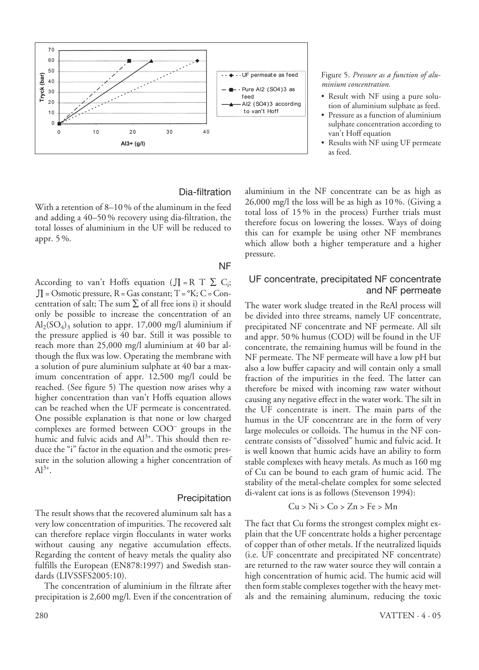

#### Dia-filtration

With a retention of 8–10 % of the aluminum in the feed and adding a 40–50 % recovery using dia-filtration, the total losses of aluminium in the UF will be reduced to appr. 5 %.

#### NF

According to van't Hoffs equation ( $J = R T \sum C_i$ ;  $\text{J}I = \text{Osmotic pressure}$ , R = Gas constant; T = °K; C = Concentration of salt; The sum  $\Sigma$  of all free ions i) it should only be possible to increase the concentration of an  $Al_2(SO_4)$ <sub>3</sub> solution to appr. 17,000 mg/l aluminium if the pressure applied is 40 bar. Still it was possible to reach more than 25,000 mg/l aluminium at 40 bar although the flux was low. Operating the membrane with a solution of pure aluminium sulphate at 40 bar a maximum concentration of appr. 12,500 mg/l could be reached. (See figure 5) The question now arises why a higher concentration than van't Hoffs equation allows can be reached when the UF permeate is concentrated. One possible explanation is that none or low charged complexes are formed between COO– groups in the humic and fulvic acids and  $Al^{3+}$ . This should then reduce the "i" factor in the equation and the osmotic pressure in the solution allowing a higher concentration of  $Al^{3+}$ .

#### Precipitation

The result shows that the recovered aluminum salt has a very low concentration of impurities. The recovered salt can therefore replace virgin flocculants in water works without causing any negative accumulation effects. Regarding the content of heavy metals the quality also fulfills the European (EN878:1997) and Swedish standards (LIVSSFS2005:10).

The concentration of aluminium in the filtrate after precipitation is 2,600 mg/l. Even if the concentration of Figure 5. *Pressure as a function of aluminium concentration.*

- Result with NF using a pure solution of aluminium sulphate as feed.
- Pressure as a function of aluminium sulphate concentration according to van't Hoff equation
- Results with NF using UF permeate as feed.

aluminium in the NF concentrate can be as high as 26,000 mg/l the loss will be as high as 10 %. (Giving a total loss of 15 % in the process) Further trials must therefore focus on lowering the losses. Ways of doing this can for example be using other NF membranes which allow both a higher temperature and a higher pressure.

#### UF concentrate, precipitated NF concentrate and NF permeate

The water work sludge treated in the ReAl process will be divided into three streams, namely UF concentrate, precipitated NF concentrate and NF permeate. All silt and appr. 50 % humus (COD) will be found in the UF concentrate, the remaining humus will be found in the NF permeate. The NF permeate will have a low pH but also a low buffer capacity and will contain only a small fraction of the impurities in the feed. The latter can therefore be mixed with incoming raw water without causing any negative effect in the water work. The silt in the UF concentrate is inert. The main parts of the humus in the UF concentrate are in the form of very large molecules or colloids. The humus in the NF concentrate consists of "dissolved" humic and fulvic acid. It is well known that humic acids have an ability to form stable complexes with heavy metals. As much as 160 mg of Cu can be bound to each gram of humic acid. The stability of the metal-chelate complex for some selected di-valent cat ions is as follows (Stevenson 1994):

#### $Cu > Ni > Co > Zn > Fe > Mn$

The fact that Cu forms the strongest complex might explain that the UF concentrate holds a higher percentage of copper than of other metals. If the neutralized liquids (i.e. UF concentrate and precipitated NF concentrate) are returned to the raw water source they will contain a high concentration of humic acid. The humic acid will then form stable complexes together with the heavy metals and the remaining aluminum, reducing the toxic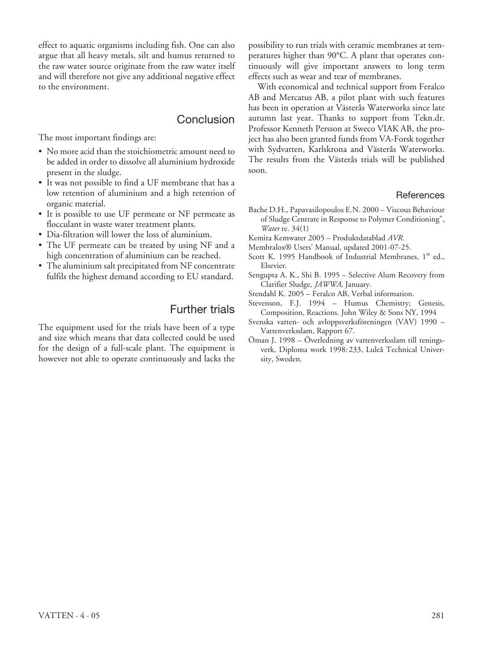effect to aquatic organisms including fish. One can also argue that all heavy metals, silt and humus returned to the raw water source originate from the raw water itself and will therefore not give any additional negative effect to the environment.

## Conclusion

The most important findings are:

- No more acid than the stoichiometric amount need to be added in order to dissolve all aluminium hydroxide present in the sludge.
- It was not possible to find a UF membrane that has a low retention of aluminium and a high retention of organic material.
- It is possible to use UF permeate or NF permeate as flocculant in waste water treatment plants.
- Dia-filtration will lower the loss of aluminium.
- The UF permeate can be treated by using NF and a high concentration of aluminium can be reached.
- The aluminium salt precipitated from NF concentrate fulfils the highest demand according to EU standard.

## Further trials

The equipment used for the trials have been of a type and size which means that data collected could be used for the design of a full-scale plant. The equipment is however not able to operate continuously and lacks the possibility to run trials with ceramic membranes at temperatures higher than 90°C. A plant that operates continuously will give important answers to long term effects such as wear and tear of membranes.

With economical and technical support from Feralco AB and Mercatus AB, a pilot plant with such features has been in operation at Västerås Waterworks since late autumn last year. Thanks to support from Tekn.dr. Professor Kenneth Persson at Sweco VIAK AB, the project has also been granted funds from VA-Forsk together with Sydvatten, Karlskrona and Västerås Waterworks. The results from the Västerås trials will be published soon.

#### **References**

- Bache D.H., Papavasilopoulos E.N. 2000 Viscous Behaviour of Sludge Centrate in Response to Polymer Conditioning", *Water* re. 34(1)
- Kemira Kemwater 2005 Produktdatablad *AVR.*
- Membralox® Users' Manual*,* updated 2001-07-25.
- Scott K. 1995 Handbook of Industrial Membranes, 1<sup>st</sup> ed., Elsevier.
- Sengupta A. K., Shi B. 1995 Selective Alum Recovery from Clarifier Sludge, *JAWWA,* January.
- Stendahl K. 2005 Feralco AB, Verbal information.
- Stevenson, F.J*.* 1994 Humus Chemistry; Genesis, Composition, Reactions. John Wiley & Sons NY, 1994
- Svenska vatten- och avloppsverksföreningen (VAV) 1990 Vattenverksslam, Rapport 67.
- Öman J. 1998 Överledning av vattenverksslam till reningsverk*,* Diploma work 1998: 233, Luleå Technical University, Sweden.